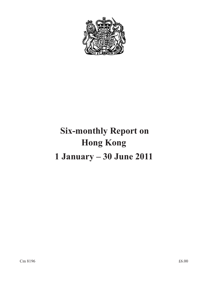

# **Six-monthly Report on Hong Kong 1 January – 30 June 2011**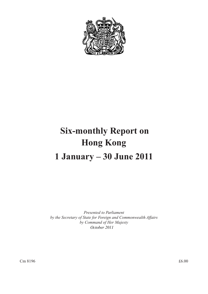

# **Six-monthly Report on Hong Kong 1 January – 30 June 2011**

*Presented to Parliament by the Secretary of State for Foreign and Commonwealth Affairs by Command of Her Majesty October 2011*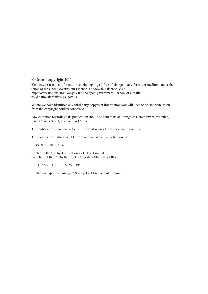#### **© Crown copyright 2011**

You may re-use this information (excluding logos) free of charge in any format or medium, under the terms of the Open Government Licence. To view this licence, visit http://www.nationalarchives.gov.uk/doc/open-government-licence/ or e-mail: psi@nationalarchives.gsi.gov.uk.

Where we have identified any third party copyright information you will need to obtain permission from the copyright holders concerned.

Any enquiries regarding this publication should be sent to us at Foreign & Commonwealth Office, King Charles Street, London SW1A 2AH

This publication is available for download at www.official-documents.gov.uk

This document is also available from our website at www.fco.gov.uk

ISBN: 9780101819626

Printed in the UK by The Stationery Office Limited on behalf of the Controller of Her Majesty's Stationery Office

ID 2457227 10/11 15335 19585

Printed on paper containing 75% recycled fibre content minimum.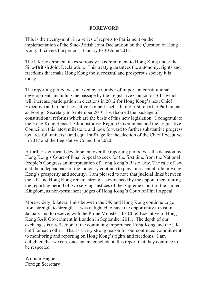#### **FOREWORD**

This is the twenty-ninth in a series of reports to Parliament on the implementation of the Sino-British Joint Declaration on the Question of Hong Kong. It covers the period 1 January to 30 June 2011.

The UK Government takes seriously its commitment to Hong Kong under the Sino-British Joint Declaration. This treaty guarantees the autonomy, rights and freedoms that make Hong Kong the successful and prosperous society it is today.

The reporting period was marked by a number of important constitutional developments including the passage by the Legislative Council of Bills which will increase participation in elections in 2012 for Hong Kong's next Chief Executive and to the Legislative Council itself. In my first report to Parliament as Foreign Secretary in September 2010, I welcomed the package of constitutional reforms which are the basis of this new legislation. I congratulate the Hong Kong Special Administrative Region Government and the Legislative Council on this latest milestone and look forward to further substantive progress towards full universal and equal suffrage for the election of the Chief Executive in 2017 and the Legislative Council in 2020.

A further significant development over the reporting period was the decision by Hong Kong's Court of Final Appeal to seek for the first time from the National People's Congress an interpretation of Hong Kong's Basic Law. The rule of law and the independence of the judiciary continue to play an essential role in Hong Kong's prosperity and security. I am pleased to note that judicial links between the UK and Hong Kong remain strong, as evidenced by the appointment during the reporting period of two serving Justices of the Supreme Court of the United Kingdom, as non-permanent judges of Hong Kong's Court of Final Appeal.

More widely, bilateral links between the UK and Hong Kong continue to go from strength to strength. I was delighted to have the opportunity to visit in January and to receive, with the Prime Minister, the Chief Executive of Hong Kong SAR Government in London in September 2011. The depth of our exchanges is a reflection of the continuing importance Hong Kong and the UK hold for each other. That is a very strong reason for our continued commitment to monitoring and reporting on Hong Kong's rights and freedoms. I am delighted that we can, once again, conclude in this report that they continue to be respected.

William Hague Foreign Secretary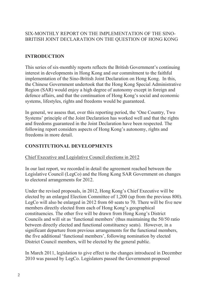### SIX-MONTHLY REPORT ON THE IMPLEMENTATION OF THE SINO-BRITISH JOINT DECLARATION ON THE QUESTION OF HONG KONG

# **INTRODUCTION**

This series of six-monthly reports reflects the British Government's continuing interest in developments in Hong Kong and our commitment to the faithful implementation of the Sino-British Joint Declaration on Hong Kong. In this, the Chinese Government undertook that the Hong Kong Special Administrative Region (SAR) would enjoy a high degree of autonomy except in foreign and defence affairs, and that the continuation of Hong Kong's social and economic systems, lifestyles, rights and freedoms would be guaranteed.

In general, we assess that, over this reporting period, the 'One Country, Two Systems' principle of the Joint Declaration has worked well and that the rights and freedoms guaranteed in the Joint Declaration have been respected. The following report considers aspects of Hong Kong's autonomy, rights and freedoms in more detail.

# **CONSTITUTIONAL DEVELOPMENTS**

# Chief Executive and Legislative Council elections in 2012

In our last report, we recorded in detail the agreement reached between the Legislative Council (LegCo) and the Hong Kong SAR Government on changes to electoral arrangements for 2012.

Under the revised proposals, in 2012, Hong Kong's Chief Executive will be elected by an enlarged Election Committee of 1,200 (up from the previous 800). LegCo will also be enlarged in 2012 from 60 seats to 70. There will be five new members directly elected from each of Hong Kong's geographical constituencies. The other five will be drawn from Hong Kong's District Councils and will sit as 'functional members' (thus maintaining the 50/50 ratio between directly elected and functional constituency seats). However, in a significant departure from previous arrangements for the functional members, the five additional 'functional members', following nomination by elected District Council members, will be elected by the general public.

In March 2011, legislation to give effect to the changes introduced in December 2010 was passed by LegCo. Legislators passed the Government-proposed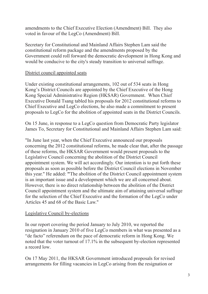amendments to the Chief Executive Election (Amendment) Bill. They also voted in favour of the LegCo (Amendment) Bill.

Secretary for Constitutional and Mainland Affairs Stephen Lam said the constitutional reform package and the amendments proposed by the Government could roll forward the democratic development in Hong Kong and would be conducive to the city's steady transition to universal suffrage.

#### District council appointed seats

Under existing constitutional arrangements, 102 out of 534 seats in Hong Kong's District Councils are appointed by the Chief Executive of the Hong Kong Special Administrative Region (HKSAR) Government. When Chief Executive Donald Tsang tabled his proposals for 2012 constitutional reforms to Chief Executive and LegCo elections, he also made a commitment to present proposals to LegCo for the abolition of appointed seats in the District Councils.

On 15 June, in response to a LegCo question from Democratic Party legislator James To, Secretary for Constitutional and Mainland Affairs Stephen Lam said:

"In June last year, when the Chief Executive announced our proposals concerning the 2012 constitutional reforms, he made clear that, after the passage of these reforms, the HKSAR Government would present proposals to the Legislative Council concerning the abolition of the District Council appointment system. We will act accordingly. Our intention is to put forth these proposals as soon as possible before the District Council elections in November this year." He added: **"**The abolition of the District Council appointment system is an important issue and a development which we are all concerned about. However, there is no direct relationship between the abolition of the District Council appointment system and the ultimate aim of attaining universal suffrage for the selection of the Chief Executive and the formation of the LegCo under Articles 45 and 68 of the Basic Law."

#### Legislative Council by-elections

In our report covering the period January to July 2010, we reported the resignation in January 2010 of five LegCo members in what was presented as a "de facto" referendum on the pace of democratic reform in Hong Kong. We noted that the voter turnout of 17.1% in the subsequent by-election represented a record low.

On 17 May 2011, the HKSAR Government introduced proposals for revised arrangements for filling vacancies in LegCo arising from the resignation or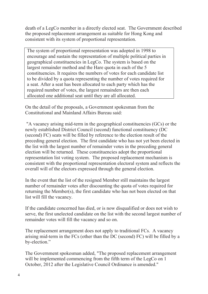death of a LegCo member in a directly elected seat. The Government described the proposed replacement arrangement as suitable for Hong Kong and consistent with its system of proportional representation.

The system of proportional representation was adopted in 1998 to encourage and sustain the representation of multiple political parties in geographical constituencies in LegCo. The system is based on the largest remainder method and the Hare quota in each of the 5 constituencies. It requires the numbers of votes for each candidate list to be divided by a quota representing the number of votes required for a seat. After a seat has been allocated to each party which has the required number of votes, the largest remainders are then each allocated one additional seat until they are all allocated.

On the detail of the proposals, a Government spokesman from the Constitutional and Mainland Affairs Bureau said:

 "A vacancy arising mid-term in the geographical constituencies (GCs) or the newly established District Council (second) functional constituency (DC (second) FC) seats will be filled by reference to the election result of the preceding general election. The first candidate who has not yet been elected in the list with the largest number of remainder votes in the preceding general election will be returned. These constituencies adopt the proportional representation list voting system. The proposed replacement mechanism is consistent with the proportional representation electoral system and reflects the overall will of the electors expressed through the general election.

In the event that the list of the resigned Member still maintains the largest number of remainder votes after discounting the quota of votes required for returning the Member(s), the first candidate who has not been elected on that list will fill the vacancy.

If the candidate concerned has died, or is now disqualified or does not wish to serve, the first unelected candidate on the list with the second largest number of remainder votes will fill the vacancy and so on.

The replacement arrangement does not apply to traditional FCs. A vacancy arising mid-term in the FCs (other than the DC (second) FC) will be filled by a by-election."

The Government spokesman added, "The proposed replacement arrangement will be implemented commencing from the fifth term of the LegCo on 1 October, 2012 after the Legislative Council Ordinance is amended."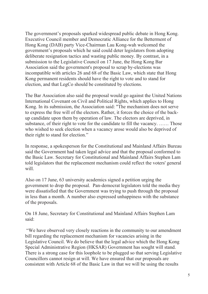The government's proposals sparked widespread public debate in Hong Kong. Executive Council member and Democratic Alliance for the Betterment of Hong Kong (DAB) party Vice-Chairman Lau Kong-wah welcomed the government's proposals which he said could deter legislators from adopting deliberate resignation tactics and wasting public money. By contrast, in a submission to the Legislative Council on 17 June, the Hong Kong Bar Association said the government's proposal to scrap by-elections was incompatible with articles 26 and 68 of the Basic Law, which state that Hong Kong permanent residents should have the right to vote and to stand for election, and that LegCo should be constituted by elections.

The Bar Association also said the proposal would go against the United Nations International Covenant on Civil and Political Rights, which applies to Hong Kong. In its submission, the Association said: "The mechanism does not serve to express the free will of the electors. Rather, it forces the choice of the backup candidate upon them by operation of law. The electors are deprived, in substance, of their right to vote for the candidate to fill the vacancy. …… Those who wished to seek election when a vacancy arose would also be deprived of their right to stand for election."

In response, a spokesperson for the Constitutional and Mainland Affairs Bureau said the Government had taken legal advice and that the proposal conformed to the Basic Law. Secretary for Constitutional and Mainland Affairs Stephen Lam told legislators that the replacement mechanism could reflect the voters' general will.

Also on 17 June, 63 university academics signed a petition urging the government to drop the proposal. Pan-democrat legislators told the media they were dissatisfied that the Government was trying to push through the proposal in less than a month. A number also expressed unhappiness with the substance of the proposals.

On 18 June, Secretary for Constitutional and Mainland Affairs Stephen Lam said:

 "We have observed very closely reactions in the community to our amendment bill regarding the replacement mechanism for vacancies arising in the Legislative Council. We do believe that the legal advice which the Hong Kong Special Administrative Region (HKSAR) Government has sought will stand. There is a strong case for this loophole to be plugged so that serving Legislative Councillors cannot resign at will. We have ensured that our proposals are consistent with Article 68 of the Basic Law in that we will be using the results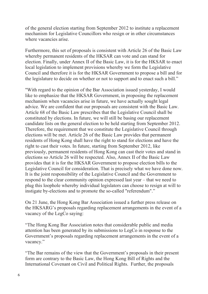of the general election starting from September 2012 to institute a replacement mechanism for Legislative Councillors who resign or in other circumstances where vacancies arise.

Furthermore, this set of proposals is consistent with Article 26 of the Basic Law whereby permanent residents of the HKSAR can vote and can stand for election. Finally, under Annex II of the Basic Law, it is for the HKSAR to enact local legislation to implement provisions whereby we form the Legislative Council and therefore it is for the HKSAR Government to propose a bill and for the legislature to decide on whether or not to support and to enact such a bill."

"With regard to the opinion of the Bar Association issued yesterday, I would like to emphasize that the HKSAR Government, in proposing the replacement mechanism when vacancies arise in future, we have actually sought legal advice. We are confident that our proposals are consistent with the Basic Law. Article 68 of the Basic Law prescribes that the Legislative Council shall be constituted by elections. In future, we will still be basing our replacement candidate lists on the general election to be held starting from September 2012. Therefore, the requirement that we constitute the Legislative Council through elections will be met. Article 26 of the Basic Law provides that permanent residents of Hong Kong shall have the right to stand for elections and have the right to cast their votes. In future, starting from September 2012, like previously, permanent residents of Hong Kong can cast their votes and stand in elections so Article 26 will be respected. Also, Annex II of the Basic Law provides that it is for the HKSAR Government to propose election bills to the Legislative Council for consideration. That is precisely what we have done now. It is the joint responsibility of the Legislative Council and the Government to respond to the clear community opinion expressed last year – that we need to plug this loophole whereby individual legislators can choose to resign at will to instigate by-elections and to promote the so-called "referendum"."

On 21 June, the Hong Kong Bar Association issued a further press release on the HKSARG's proposals regarding replacement arrangements in the event of a vacancy of the LegCo saying:

"The Hong Kong Bar Association notes that considerable public and media attention has been generated by its submissions to LegCo in response to the Government's proposals regarding replacement arrangements in the event of a vacancy."

"The Bar remains of the view that the Government's proposals in their present form are contrary to the Basic Law, the Hong Kong Bill of Rights and the International Covenant on Civil and Political Rights. Further, the proposals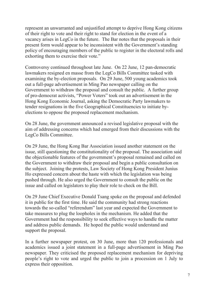represent an unwarranted and unjustified attempt to deprive Hong Kong citizens of their right to vote and their right to stand for election in the event of a vacancy arises in LegCo in the future. The Bar notes that the proposals in their present form would appear to be inconsistent with the Government's standing policy of encouraging members of the public to register in the electoral rolls and exhorting them to exercise their vote."

Controversy continued throughout late June. On 22 June, 12 pan-democratic lawmakers resigned en masse from the LegCo Bills Committee tasked with examining the by-election proposals. On 29 June, 500 young academics took out a full-page advertisement in Ming Pao newspaper calling on the Government to withdraw the proposal and consult the public. A further group of pro-democrat activists, "Power Voters" took out an advertisement in the Hong Kong Economic Journal, asking the Democratic Party lawmakers to tender resignations in the five Geographical Constituencies to initiate byelections to oppose the proposed replacement mechanism.

On 28 June, the government announced a revised legislative proposal with the aim of addressing concerns which had emerged from their discussions with the LegCo Bills Committee.

On 29 June, the Hong Kong Bar Association issued another statement on the issue, still questioning the constitutionality of the proposal. The association said the objectionable features of the government's proposal remained and called on the Government to withdraw their proposal and begin a public consultation on the subject. Joining the protests, Law Society of Hong Kong President Junius Ho expressed concern about the haste with which the legislation was being pushed through. He also urged the Government to consult the public on the issue and called on legislators to play their role to check on the Bill.

On 29 June Chief Executive Donald Tsang spoke on the proposal and defended it in public for the first time. He said the community had strong reactions towards the so-called "referendum" last year and expected the Government to take measures to plug the loopholes in the mechanism. He added that the Government had the responsibility to seek effective ways to handle the matter and address public demands. He hoped the public would understand and support the proposal.

In a further newspaper protest, on 30 June, more than 120 professionals and academics issued a joint statement in a full-page advertisement in Ming Pao newspaper. They criticised the proposed replacement mechanism for depriving people's right to vote and urged the public to join a procession on 1 July to express their opposition.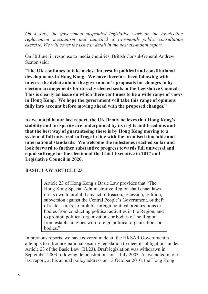*On 4 July, the government suspended legislative work on the by-election replacement mechanism and launched a two-month public consultation exercise. We will cover the issue in detail in the next six-month report.* 

On 30 June, in response to media enquiries, British Consul-General Andrew Seaton said:

"**The UK continues to take a close interest in political and constitutional developments in Hong Kong. We have therefore been following with interest the debate about the government's proposals for changes to byelection arrangements for directly elected seats in the Legislative Council. This is clearly an issue on which there continues to be a wide range of views in Hong Kong. We hope the government will take this range of opinions fully into account before moving ahead with the proposed changes."**

**As we noted in our last report, the UK firmly believes that Hong Kong's stability and prosperity are underpinned by its rights and freedoms and that the best way of guaranteeing these is by Hong Kong moving to a system of full universal suffrage in line with the promised timetable and international standards. We welcome the milestones reached so far and look forward to further substantive progress towards full universal and equal suffrage for the election of the Chief Executive in 2017 and Legislative Council in 2020.** 

#### **BASIC LAW ARTICLE 23**

Article 23 of Hong Kong's Basic Law provides that "The Hong Kong Special Administrative Region shall enact laws on its own to prohibit any act of treason, secession, sedition, subversion against the Central People's Government, or theft of state secrets, to prohibit foreign political organizations or bodies from conducting political activities in the Region, and to prohibit political organizations or bodies of the Region from establishing ties with foreign political organizations or bodies."

In previous reports, we have covered in detail the HKSAR Government's attempts to introduce national security legislation to meet its obligations under Article 23 of the Basic Law (BL23). Draft legislation was withdrawn in September 2003 following demonstrations on 1 July 2003. As we noted in our last report, at his annual policy address on 13 October 2010, the Hong Kong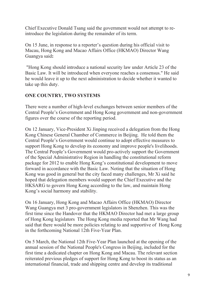Chief Executive Donald Tsang said the government would not attempt to reintroduce the legislation during the remainder of its term.

On 15 June, in response to a reporter's question during his official visit to Macau, Hong Kong and Macao Affairs Office (HKMAO) Director Wang Guangya said**:** 

"Hong Kong should introduce a national security law under Article 23 of the Basic Law. It will be introduced when everyone reaches a consensus." He said he would leave it up to the next administration to decide whether it wanted to take up this duty.

### **ONE COUNTRY, TWO SYSTEMS**

There were a number of high-level exchanges between senior members of the Central People's Government and Hong Kong government and non-government figures over the course of the reporting period.

On 12 January, Vice-President Xi Jinping received a delegation from the Hong Kong Chinese General Chamber of Commerce in Beijing. He told them the Central People's Government would continue to adopt effective measures to support Hong Kong to develop its economy and improve people's livelihoods. The Central People's Government would pro-actively support the Government of the Special Administrative Region in handling the constitutional reform package for 2012 to enable Hong Kong's constitutional development to move forward in accordance with the Basic Law. Noting that the situation of Hong Kong was good in general but the city faced many challenges, Mr Xi said he hoped that delegation members would support the Chief Executive and the HKSARG to govern Hong Kong according to the law, and maintain Hong Kong's social harmony and stability.

On 16 January, Hong Kong and Macao Affairs Office (HKMAO) Director Wang Guangya met 3 pro-government legislators in Shenzhen. This was the first time since the Handover that the HKMAO Director had met a large group of Hong Kong legislators The Hong Kong media reported that Mr Wang had said that there would be more policies relating to and supportive of Hong Kong in the forthcoming National 12th Five-Year Plan.

On 5 March, the National 12th Five-Year Plan launched at the opening of the annual session of the National People's Congress in Beijing, included for the first time a dedicated chapter on Hong Kong and Macau. The relevant section reiterated previous pledges of support for Hong Kong to boost its status as an international financial, trade and shipping centre and develop its traditional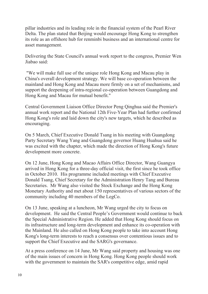pillar industries and its leading role in the financial system of the Pearl River Delta. The plan stated that Beijing would encourage Hong Kong to strengthen its role as an offshore hub for renminbi business and an international centre for asset management.

Delivering the State Council's annual work report to the congress, Premier Wen Jiabao said:

 "We will make full use of the unique role Hong Kong and Macau play in China's overall development strategy. We will base co-operation between the mainland and Hong Kong and Macau more firmly on a set of mechanisms, and support the deepening of intra-regional co-operation between Guangdong and Hong Kong and Macau for mutual benefit."

Central Government Liaison Office Director Peng Qinghua said the Premier's annual work report and the National 12th Five-Year Plan had further confirmed Hong Kong's role and laid down the city's new targets, which he described as encouraging.

On 5 March, Chief Executive Donald Tsang in his meeting with Guangdong Party Secretary Wang Yang and Guangdong governor Huang Huahua said he was excited with the chapter, which made the direction of Hong Kong's future development more concrete.

On 12 June, Hong Kong and Macao Affairs Office Director, Wang Guangya arrived in Hong Kong for a three-day official visit, the first since he took office in October 2010. His programme included meetings with Chief Executive Donald Tsang, Chief Secretary for the Administration Henry Tang and Bureau Secretaries. Mr Wang also visited the Stock Exchange and the Hong Kong Monetary Authority and met about 150 representatives of various sectors of the community including 40 members of the LegCo.

On 13 June, speaking at a luncheon, Mr Wang urged the city to focus on development. He said the Central People's Government would continue to back the Special Administrative Region. He added that Hong Kong should focus on its infrastructure and long-term development and enhance its co-operation with the Mainland. He also called on Hong Kong people to take into account Hong Kong's long-term interests to reach a consensus over contentious issues and to support the Chief Executive and the SARG's governance.

At a press conference on 14 June, Mr Wang said property and housing was one of the main issues of concern in Hong Kong. Hong Kong people should work with the government to maintain the SAR's competitive edge, amid rapid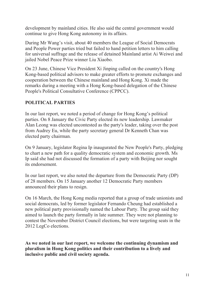development by mainland cities. He also said the central government would continue to give Hong Kong autonomy in its affairs.

During Mr Wang's visit, about 40 members the League of Social Democrats and People Power parties tried but failed to hand petition letters to him calling for universal suffrage and the release of detained Mainland artist Ai Weiwei and jailed Nobel Peace Prize winner Liu Xiaobo.

On 23 June, Chinese Vice President Xi Jinping called on the country's Hong Kong-based political advisors to make greater efforts to promote exchanges and cooperation between the Chinese mainland and Hong Kong. Xi made the remarks during a meeting with a Hong Kong-based delegation of the Chinese People's Political Consultative Conference (CPPCC).

### **POLITICAL PARTIES**

In our last report, we noted a period of change for Hong Kong's political parties. On 8 January the Civic Party elected its new leadership. Lawmaker Alan Leong was elected uncontested as the party's leader, taking over the post from Audrey Eu, while the party secretary general Dr Kenneth Chan was elected party chairman.

On 9 January, legislator Regina Ip inaugurated the New People's Party, pledging to chart a new path for a quality democratic system and economic growth. Ms Ip said she had not discussed the formation of a party with Beijing nor sought its endorsement.

In our last report, we also noted the departure from the Democratic Party (DP) of 28 members. On 15 January another 12 Democratic Party members announced their plans to resign.

On 16 March, the Hong Kong media reported that a group of trade unionists and social democrats, led by former legislator Fernando Cheung had established a new political party provisionally named the Labour Party. The group said they aimed to launch the party formally in late summer. They were not planning to contest the November District Council elections, but were targeting seats in the 2012 LegCo elections.

**As we noted in our last report, we welcome the continuing dynamism and pluralism in Hong Kong politics and their contribution to a lively and inclusive public and civil society agenda.**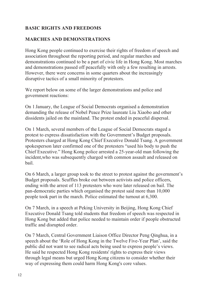#### **BASIC RIGHTS AND FREEDOMS**

#### **MARCHES AND DEMONSTRATIONS**

Hong Kong people continued to exercise their rights of freedom of speech and association throughout the reporting period, and regular marches and demonstrations continued to be a part of civic life in Hong Kong. Most marches and demonstrations passed off peacefully with only a few resulting in arrests. However, there were concerns in some quarters about the increasingly disruptive tactics of a small minority of protestors.

We report below on some of the larger demonstrations and police and government reactions:

On 1 January, the League of Social Democrats organised a demonstration demanding the release of Nobel Peace Prize laureate Liu Xiaobo and other dissidents jailed on the mainland. The protest ended in peaceful dispersal.

On 1 March, several members of the League of Social Democrats staged a protest to express dissatisfaction with the Government's Budget proposals. Protesters charged at Hong Kong Chief Executive Donald Tsang. A government spokesperson later confirmed one of the protesters "used his body to push the Chief Executive." Hong Kong police arrested a 25-year-old man following the incident,who was subsequently charged with common assault and released on bail.

On 6 March, a larger group took to the street to protest against the government's Budget proposals. Scuffles broke out between activists and police officers, ending with the arrest of 113 protesters who were later released on bail. The pan-democratic parties which organised the protest said more than 10,000 people took part in the march. Police estimated the turnout at 6,300.

On 7 March, in a speech at Peking University in Beijing, Hong Kong Chief Executive Donald Tsang told students that freedom of speech was respected in Hong Kong but added that police needed to maintain order if people obstructed traffic and disrupted order.

On 7 March, Central Government Liaison Office Director Peng Qinghua, in a speech about the 'Role of Hong Kong in the Twelve Five-Year Plan', said the public did not want to see radical acts being used to express people's views. He said he respected Hong Kong residents' rights to express their views through legal means but urged Hong Kong citizens to consider whether their way of expressing them could harm Hong Kong's core values.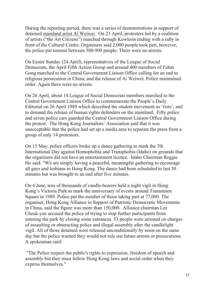During the reporting period, there was a series of demonstrations in support of detained mainland artist Ai Weiwei. On 23 April, protesters led by a coalition of artists ("the Art Citizens") marched through Kowloon ending with a rally in front of the Cultural Centre. Organisers said 2,000 people took part, however, the police put turnout between 500-900 people. There were no arrests.

On Easter Sunday (24 April), representatives of the League of Social Democrats, the April Fifth Action Group and around 400 members of Falun Gong marched to the Central Government Liaison Office calling for an end to religious persecution in China; and the release of Ai Weiwei. Police maintained order. Again there were no arrests.

On 26 April, about 14 League of Social Democrats members marched to the Central Government Liaison Office to commemorate the People's Daily Editorial on 26 April 1989 which described the student movement as 'riots', and to demand the release of human rights defenders on the mainland. Fifty police and seven police cars guarded the Central Government Liaison Office during the protest. The Hong Kong Journalists' Association said that it was unacceptable that the police had set up a media area to separate the press from a group of only 14 protestors.

On 15 May, police officers broke up a dance gathering to mark the 7th International Day against Homophobia and Transphobia (Idaho) on grounds that the organizers did not have an entertainment licence. Idaho Chairman Reggie Ho said: "We are simply having a peaceful, meaningful gathering to encourage all gays and lesbians in Hong Kong. The dance had been scheduled to last 30 minutes but was brought to an end after five minutes.

On 4 June, tens of thousands of candle-bearers held a night vigil in Hong Kong's Victoria Park to mark the anniversary of events around Tiananmen Square in 1989. Police put the number of those taking part at 77,000. The organiser, Hong Kong Alliance in Support of Patriotic Democratic Movements in China, said the figure was more than 150,000. Alliance chairman Lee Cheuk-yan accused the police of trying to stop further participants from entering the park by closing some entrances. 53 people were arrested on charges of assaulting or obstructing police and illegal assembly after the candlelight vigil. All of those detained were released unconditionally by noon on the same day but the police warned they would not rule out future arrests or prosecutions. A spokesman said:

 "The Police respect the public's rights to expression, freedom of speech and assembly but they must follow Hong Kong laws and social order when they express themselves."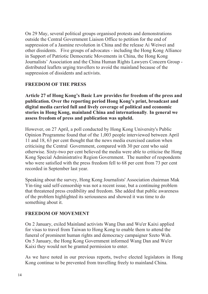On 29 May, several political groups organised protests and demonstrations outside the Central Government Liaison Office to petition for the end of suppression of a Jasmine revolution in China and the release Ai Weiwei and other dissidents. Five groups of advocates - including the Hong Kong Alliance in Support of Patriotic Democratic Movements in China, the Hong Kong Journalists' Association and the China Human Rights Lawyers Concern Group distributed leaflets urging travellers to avoid the mainland because of the suppression of dissidents and activists.

#### **FREEDOM OF THE PRESS**

**Article 27 of Hong Kong's Basic Law provides for freedom of the press and publication. Over the reporting period Hong Kong's print, broadcast and digital media carried full and lively coverage of political and economic stories in Hong Kong, mainland China and internationally**. **In general we assess freedom of press and publication was upheld.**

However, on 27 April, a poll conducted by Hong Kong University's Public Opinion Programme found that of the 1,003 people interviewed between April 11 and 18, 63 per cent thought that the news media exercised caution when criticising the Central Government, compared with 30 per cent who said otherwise. Sixty-two per cent believed the media were able to criticise the Hong Kong Special Administrative Region Government. The number of respondents who were satisfied with the press freedom fell to 68 per cent from 73 per cent recorded in September last year.

Speaking about the survey, Hong Kong Journalists' Association chairman Mak Yin-ting said self-censorship was not a recent issue, but a continuing problem that threatened press credibility and freedom. She added that public awareness of the problem highlighted its seriousness and showed it was time to do something about it.

# **FREEDOM OF MOVEMENT**

On 2 January, exiled Mainland activists Wang Dan and Wu'er Kaixi applied for visas to travel from Taiwan to Hong Kong to enable them to attend the funeral of prominent human rights and democracy campaigner Szeto Wah. On 5 January, the Hong Kong Government informed Wang Dan and Wu'er Kaixi they would not be granted permission to enter.

As we have noted in our previous reports, twelve elected legislators in Hong Kong continue to be prevented from travelling freely to mainland China.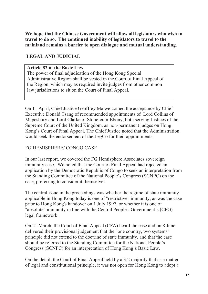**We hope that the Chinese Government will allow all legislators who wish to travel to do so. The continued inability of legislators to travel to the mainland remains a barrier to open dialogue and mutual understanding.** 

# **LEGAL AND JUDICIAL**

#### **Article 82 of the Basic Law**

The power of final adjudication of the Hong Kong Special Administrative Region shall be vested in the Court of Final Appeal of the Region, which may as required invite judges from other common law jurisdictions to sit on the Court of Final Appeal.

On 11 April, Chief Justice Geoffrey Ma welcomed the acceptance by Chief Executive Donald Tsang of recommended appointments of Lord Collins of Mapesbury and Lord Clarke of Stone-cum-Ebony, both serving Justices of the Supreme Court of the United Kingdom, as non-permanent judges on Hong Kong's Court of Final Appeal. The Chief Justice noted that the Administration would seek the endorsement of the LegCo for their appointments.

# FG HEMISPHERE/ CONGO CASE

In our last report, we covered the FG Hemisphere Associates sovereign immunity case. We noted that the Court of Final Appeal had rejected an application by the Democratic Republic of Congo to seek an interpretation from the Standing Committee of the National People's Congress (SCNPC) on the case, preferring to consider it themselves.

The central issue in the proceedings was whether the regime of state immunity applicable in Hong Kong today is one of "restrictive" immunity, as was the case prior to Hong Kong's handover on 1 July 1997, or whether it is one of "absolute" immunity in line with the Central People's Government's (CPG) legal framework.

On 21 March, the Court of Final Appeal (CFA) heard the case and on 8 June delivered their provisional judgement that the "one country, two systems" principle did not extend to the doctrine of state immunity, and that the case should be referred to the Standing Committee for the National People's Congress (SCNPC) for an interpretation of Hong Kong's Basic Law.

On the detail, the Court of Final Appeal held by a 3:2 majority that as a matter of legal and constitutional principle, it was not open for Hong Kong to adopt a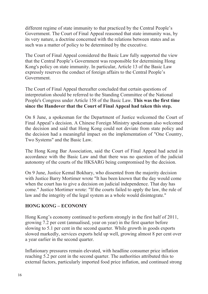different regime of state immunity to that practiced by the Central People's Government. The Court of Final Appeal reasoned that state immunity was, by its very nature, a doctrine concerned with the relations between states and as such was a matter of policy to be determined by the executive.

The Court of Final Appeal considered the Basic Law fully supported the view that the Central People's Government was responsible for determining Hong Kong's policy on state immunity. In particular, Article 13 of the Basic Law expressly reserves the conduct of foreign affairs to the Central People's Government.

The Court of Final Appeal thereafter concluded that certain questions of interpretation should be referred to the Standing Committee of the National People's Congress under Article 158 of the Basic Law. **This was the first time since the Handover that the Court of Final Appeal had taken this step.**

On 8 June, a spokesman for the Department of Justice welcomed the Court of Final Appeal's decision. A Chinese Foreign Ministry spokesman also welcomed the decision and said that Hong Kong could not deviate from state policy and the decision had a meaningful impact on the implementation of "One Country, Two Systems" and the Basic Law.

The Hong Kong Bar Association, said the Court of Final Appeal had acted in accordance with the Basic Law and that there was no question of the judicial autonomy of the courts of the HKSARG being compromised by the decision.

On 9 June, Justice Kemal Bokhary, who dissented from the majority decision with Justice Barry Mortimer wrote "It has been known that the day would come when the court has to give a decision on judicial independence. That day has come." Justice Mortimer wrote: "If the courts failed to apply the law, the rule of law and the integrity of the legal system as a whole would disintegrate."

#### **HONG KONG – ECONOMY**

Hong Kong's economy continued to perform strongly in the first half of 2011, growing 7.2 per cent (annualised, year on year) in the first quarter before slowing to 5.1 per cent in the second quarter. While growth in goods exports slowed markedly, services exports held up well, growing almost 8 per cent over a year earlier in the second quarter.

Inflationary pressures remain elevated, with headline consumer price inflation reaching 5.2 per cent in the second quarter. The authorities attributed this to external factors, particularly imported food price inflation, and continued strong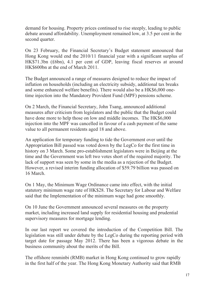demand for housing. Property prices continued to rise steeply, leading to public debate around affordability. Unemployment remained low, at 3.5 per cent in the second quarter.

On 23 February, the Financial Secretary's Budget statement announced that Hong Kong would end the 2010/11 financial year with a significant surplus of HK\$71.3bn (£6bn), 4.1 per cent of GDP, leaving fiscal reserves at around HK\$600bn at the end of March 2011.

The Budget announced a range of measures designed to reduce the impact of inflation on households (including an electricity subsidy, additional tax breaks and some enhanced welfare benefits). There would also be a HK\$6,000 onetime injection into the Mandatory Provident Fund (MPF) pensions scheme.

On 2 March, the Financial Secretary, John Tsang, announced additional measures after criticism from legislators and the public that the Budget could have done more to help those on low and middle incomes. The HK\$6,000 injection into the MPF was cancelled in favour of a cash payment of the same value to all permanent residents aged 18 and above.

An application for temporary funding to tide the Government over until the Appropriation Bill passed was voted down by the LegCo for the first time in history on 3 March. Some pro-establishment legislators were in Beijing at the time and the Government was left two votes short of the required majority. The lack of support was seen by some in the media as a rejection of the Budget. However, a revised interim funding allocation of \$59.79 billion was passed on 16 March.

On 1 May, the Minimum Wage Ordinance came into effect, with the initial statutory minimum wage rate of HK\$28. The Secretary for Labour and Welfare said that the Implementation of the minimum wage had gone smoothly.

On 10 June the Government announced several measures on the property market, including increased land supply for residential housing and prudential supervisory measures for mortgage lending.

In our last report we covered the introduction of the Competition Bill. The legislation was still under debate by the LegCo during the reporting period with target date for passage May 2012. There has been a vigorous debate in the business community about the merits of the Bill.

The offshore renminbi (RMB) market in Hong Kong continued to grow rapidly in the first half of the year. The Hong Kong Monetary Authority said that RMB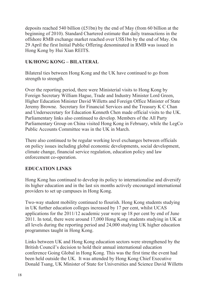deposits reached 540 billion (£51bn) by the end of May (from 60 billion at the beginning of 2010). Standard Chartered estimate that daily transactions in the offshore RMB exchange market reached over US\$1bn by the end of May. On 29 April the first Initial Public Offering denominated in RMB was issued in Hong Kong by Hui Xian REITS.

### **UK/HONG KONG – BILATERAL**

Bilateral ties between Hong Kong and the UK have continued to go from strength to strength.

Over the reporting period, there were Ministerial visits to Hong Kong by Foreign Secretary William Hague, Trade and Industry Minister Lord Green, Higher Education Minister David Willetts and Foreign Office Minister of State Jeremy Browne. Secretary for Financial Services and the Treasury K C Chan and Undersecretary for Education Kenneth Chen made official visits to the UK. Parliamentary links also continued to develop. Members of the All Party Parliamentary Group on China visited Hong Kong in February, while the LegCo Public Accounts Committee was in the UK in March.

There also continued to be regular working level exchanges between officials on policy issues including global economic developments, social development, climate change, financial service regulation, education policy and law enforcement co-operation.

# **EDUCATION LINKS**

Hong Kong has continued to develop its policy to internationalise and diversify its higher education and in the last six months actively encouraged international providers to set up campuses in Hong Kong.

Two-way student mobility continued to flourish. Hong Kong students studying in UK further education colleges increased by 17 per cent, whilst UCAS applications for the 2011/12 academic year were up 18 per cent by end of June 2011. In total, there were around 17,000 Hong Kong students studying in UK at all levels during the reporting period and 24,000 studying UK higher education programmes taught in Hong Kong.

Links between UK and Hong Kong education sectors were strengthened by the British Council's decision to hold their annual international education conference Going Global in Hong Kong. This was the first time the event had been held outside the UK. It was attended by Hong Kong Chief Executive Donald Tsang, UK Minister of State for Universities and Science David Willetts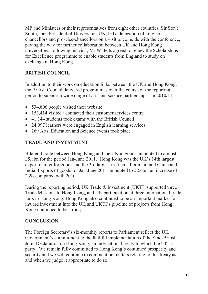MP and Ministers or their representatives from eight other countries. Sir Steve Smith, then President of Universities UK, led a delegation of 16 vicechancellors and pro-vice-chancellors on a visit to coincide with the conference, paving the way for further collaboration between UK and Hong Kong universities. Following his visit, Mr Willetts agreed to renew the Scholarships for Excellence programme to enable students from England to study on exchange in Hong Kong.

# **BRITISH COUNCIL**

In addition to their work on education links between the UK and Hong Kong, the British Council delivered programmes over the course of the reporting period to support a wide range of arts and science partnerships. In 2010/11:

- 534,806 people visited their website
- 153,414 visited / contacted their customer services centre
- 41,144 students took exams with the British Council
- 24,097 learners were engaged in English learning services
- 269 Arts, Education and Science events took place

#### **TRADE AND INVESTMENT**

Bilateral trade between Hong Kong and the UK in goods amounted to almost £5.8bn for the period Jan-June 2011. Hong Kong was the UK's 14th largest export market for goods and the 3rd largest in Asia, after mainland China and India. Exports of goods for Jan-June 2011 amounted to £2.4bn, an increase of 23% compared with 2010.

During the reporting period, UK Trade & Investment (UKTI) supported three Trade Missions to Hong Kong, and UK participation at three international trade fairs in Hong Kong. Hong Kong also continued to be an important market for inward investment into the UK and UKTI's pipeline of projects from Hong Kong continued to be strong.

# **CONCLUSION**

The Foreign Secretary's six-monthly reports to Parliament reflect the UK Government's commitment to the faithful implementation of the Sino-British Joint Declaration on Hong Kong, an international treaty to which the UK is party. We remain fully committed to Hong Kong's continued prosperity and security and we will continue to comment on matters relating to this treaty as and when we judge it appropriate to do so.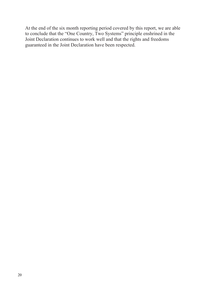At the end of the six month reporting period covered by this report, we are able to conclude that the "One Country, Two Systems" principle enshrined in the Joint Declaration continues to work well and that the rights and freedoms guaranteed in the Joint Declaration have been respected.